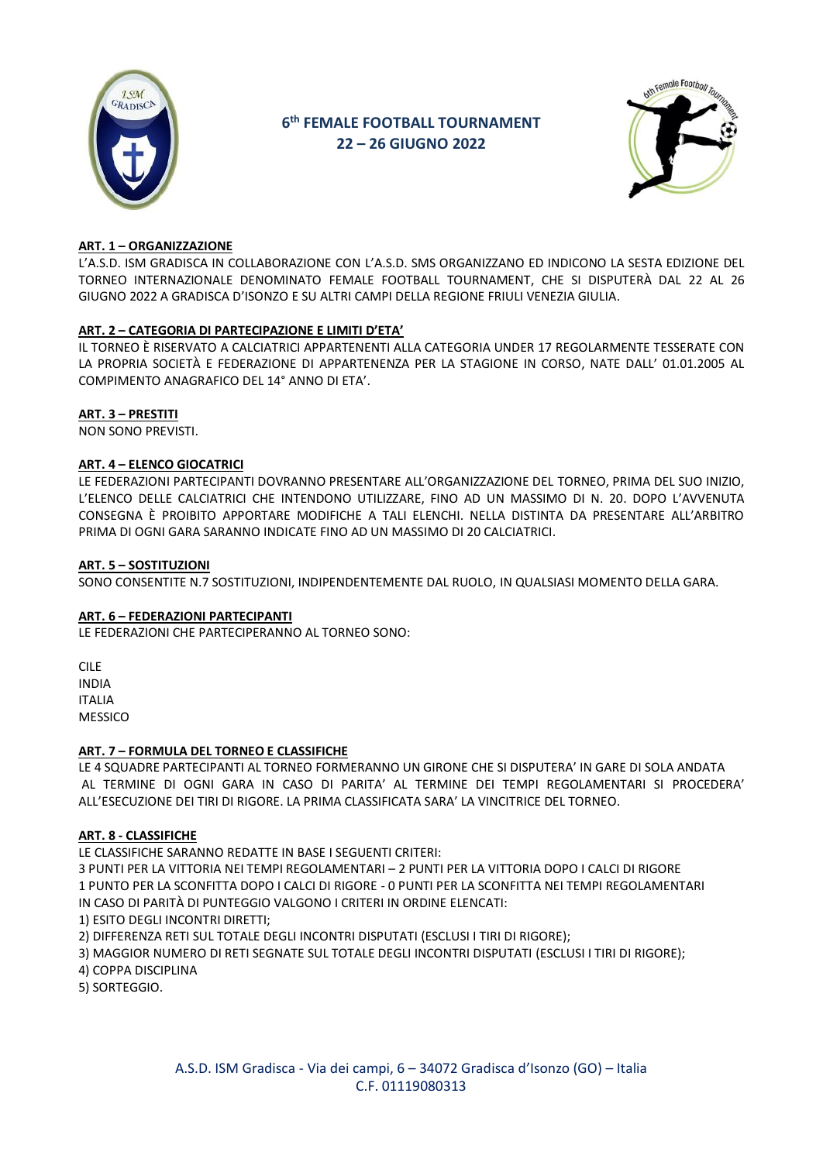

# 6<sup>th</sup> FEMALE FOOTBALL TOURNAMENT 22-26 GIUGNO 2022



# ART. 1 - ORGANIZZAZIONE

L'A.S.D. ISM GRADISCA IN COLLABORAZIONE CON L'A.S.D. SMS ORGANIZZANO ED INDICONO LA SESTA EDIZIONE DEL TORNEO INTERNAZIONALE DENOMINATO FEMALE FOOTBALL TOURNAMENT, CHE SI DISPUTERÀ DAL 22 AL 26 GIUGNO 2022 A GRADISCA D'ISONZO E SU ALTRI CAMPI DELLA REGIONE FRIULI VENEZIA GIULIA.

## ART. 2 - CATEGORIA DI PARTECIPAZIONE E LIMITI D'ETA'

IL TORNEO È RISERVATO A CALCIATRICI APPARTENENTI ALLA CATEGORIA UNDER 17 REGOLARMENTE TESSERATE CON LA PROPRIA SOCIETÀ E FEDERAZIONE DI APPARTENENZA PER LA STAGIONE IN CORSO, NATE DALL' 01.01.2005 AL COMPIMENTO ANAGRAFICO DEL 14° ANNO DI ETA'.

# **ART. 3 - PRESTITI**

NON SONO PREVISTI.

## **ART. 4 - ELENCO GIOCATRICI**

LE FEDERAZIONI PARTECIPANTI DOVRANNO PRESENTARE ALL'ORGANIZZAZIONE DEL TORNEO, PRIMA DEL SUO INIZIO, L'ELENCO DELLE CALCIATRICI CHE INTENDONO UTILIZZARE, FINO AD UN MASSIMO DI N. 20. DOPO L'AVVENUTA CONSEGNA È PROIBITO APPORTARE MODIFICHE A TALI ELENCHI. NELLA DISTINTA DA PRESENTARE ALL'ARBITRO PRIMA DI OGNI GARA SARANNO INDICATE FINO AD UN MASSIMO DI 20 CAI CIATRICI.

## **ART. 5 - SOSTITUZIONI**

SONO CONSENTITE N.7 SOSTITUZIONI, INDIPENDENTEMENTE DAL RUOLO, IN QUALSIASI MOMENTO DELLA GARA.

## ART. 6 - FEDERAZIONI PARTECIPANTI

LE FEDERAZIONI CHE PARTECIPERANNO AL TORNEO SONO:

CILE. **INDIA ITALIA MESSICO** 

# ART. 7 - FORMULA DEL TORNEO E CLASSIFICHE

LE 4 SQUADRE PARTECIPANTI AL TORNEO FORMERANNO UN GIRONE CHE SI DISPUTERA' IN GARE DI SOLA ANDATA AL TERMINE DI OGNI GARA IN CASO DI PARITA' AL TERMINE DEI TEMPI REGOLAMENTARI SI PROCEDERA' ALL'ESECUZIONE DEI TIRI DI RIGORE. LA PRIMA CLASSIFICATA SARA' LA VINCITRICE DEL TORNEO.

# **ART. 8 - CLASSIFICHE**

LE CLASSIFICHE SARANNO REDATTE IN BASE I SEGUENTI CRITERI:

3 PUNTI PER LA VITTORIA NEI TEMPI REGOLAMENTARI - 2 PUNTI PER LA VITTORIA DOPO I CALCI DI RIGORE 1 PUNTO PER LA SCONFITTA DOPO I CALCI DI RIGORE - 0 PUNTI PER LA SCONFITTA NEI TEMPI REGOLAMENTARI IN CASO DI PARITÀ DI PUNTEGGIO VALGONO I CRITERI IN ORDINE ELENCATI:

1) ESITO DEGLI INCONTRI DIRETTI;

2) DIFFERENZA RETI SUL TOTALE DEGLI INCONTRI DISPUTATI (ESCLUSI I TIRI DI RIGORE);

3) MAGGIOR NUMERO DI RETI SEGNATE SUL TOTALE DEGLI INCONTRI DISPUTATI (ESCLUSI I TIRI DI RIGORE);

4) COPPA DISCIPLINA

5) SORTEGGIO.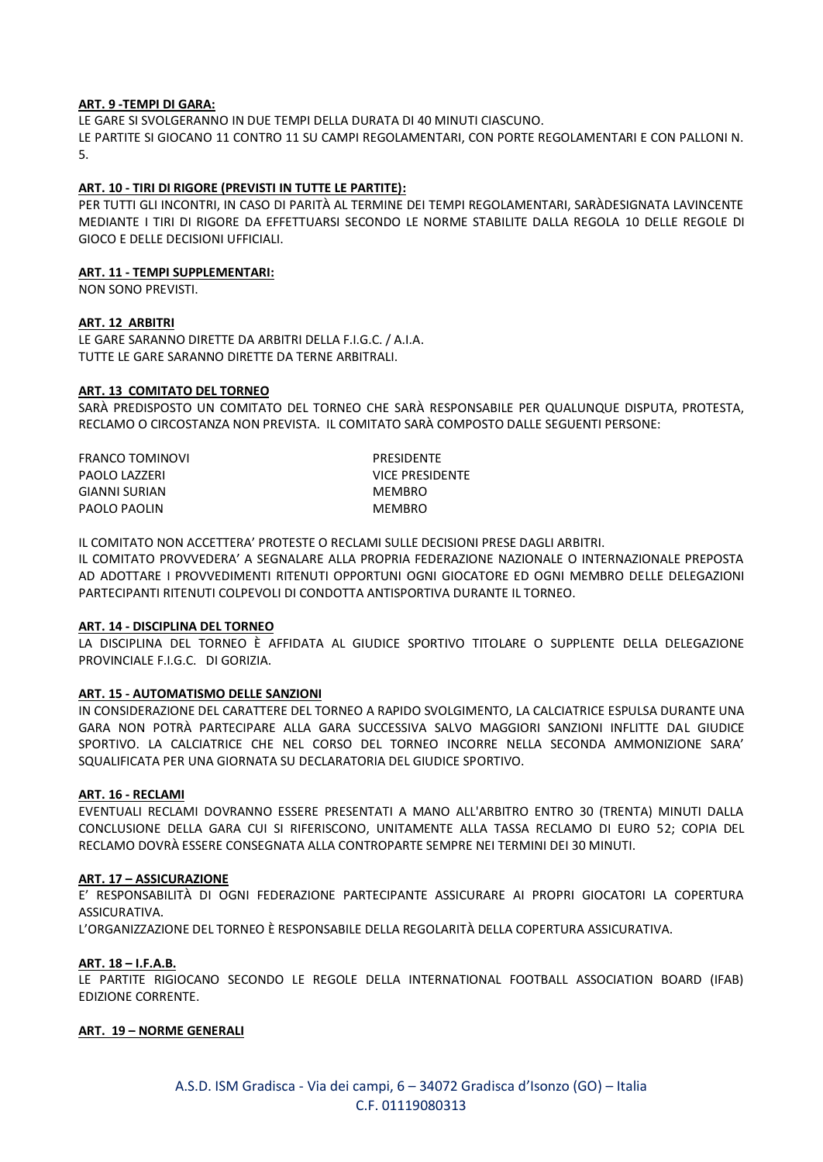## **ART. 9 -TEMPI DI GARA:**

LE GARE SI SVOLGERANNO IN DUE TEMPI DELLA DURATA DI 40 MINUTI CIASCUNO. LE PARTITE SI GIOCANO 11 CONTRO 11 SU CAMPI REGOLAMENTARI, CON PORTE REGOLAMENTARI E CON PALLONI N. 5.

## **ART. 10 - TIRI DI RIGORE (PREVISTI IN TUTTE LE PARTITE):**

PER TUTTI GLI INCONTRI, IN CASO DI PARITÀ AL TERMINE DEI TEMPI REGOLAMENTARI, SARÀDESIGNATA LAVINCENTE MEDIANTE I TIRI DI RIGORE DA EFFETTUARSI SECONDO LE NORME STABILITE DALLA REGOLA 10 DELLE REGOLE DI GIOCO E DELLE DECISIONI UFFICIALI.

## **ART. 11 - TEMPI SUPPLEMENTARI:**

NON SONO PREVISTI.

## **ART. 12 ARBITRI**

LE GARE SARANNO DIRETTE DA ARBITRI DELLA F.I.G.C. / A.I.A. TUTTE LE GARE SARANNO DIRETTE DA TERNE ARBITRALI.

#### **ART. 13 COMITATO DEL TORNEO**

SARÀ PREDISPOSTO UN COMITATO DEL TORNEO CHE SARÀ RESPONSABILE PER QUALUNQUE DISPUTA, PROTESTA, RECLAMO O CIRCOSTANZA NON PREVISTA. IL COMITATO SARÀ COMPOSTO DALLE SEGUENTI PERSONE:

FRANCO TOMINOVI PRESIDENTE PAOLO LAZZERI VICE PRESIDENTE GIANNI SURIAN MEMBRO PAOLO PAOLIN MEMBRO

IL COMITATO NON ACCETTERA' PROTESTE O RECLAMI SULLE DECISIONI PRESE DAGLI ARBITRI. IL COMITATO PROVVEDERA' A SEGNALARE ALLA PROPRIA FEDERAZIONE NAZIONALE O INTERNAZIONALE PREPOSTA AD ADOTTARE I PROVVEDIMENTI RITENUTI OPPORTUNI OGNI GIOCATORE ED OGNI MEMBRO DELLE DELEGAZIONI PARTECIPANTI RITENUTI COLPEVOLI DI CONDOTTA ANTISPORTIVA DURANTE IL TORNEO.

## **ART. 14 - DISCIPLINA DEL TORNEO**

LA DISCIPLINA DEL TORNEO È AFFIDATA AL GIUDICE SPORTIVO TITOLARE O SUPPLENTE DELLA DELEGAZIONE PROVINCIALE F.I.G.C. DI GORIZIA.

## **ART. 15 - AUTOMATISMO DELLE SANZIONI**

IN CONSIDERAZIONE DEL CARATTERE DEL TORNEO A RAPIDO SVOLGIMENTO, LA CALCIATRICE ESPULSA DURANTE UNA GARA NON POTRÀ PARTECIPARE ALLA GARA SUCCESSIVA SALVO MAGGIORI SANZIONI INFLITTE DAL GIUDICE SPORTIVO. LA CALCIATRICE CHE NEL CORSO DEL TORNEO INCORRE NELLA SECONDA AMMONIZIONE SARA' SQUALIFICATA PER UNA GIORNATA SU DECLARATORIA DEL GIUDICE SPORTIVO.

#### **ART. 16 - RECLAMI**

EVENTUALI RECLAMI DOVRANNO ESSERE PRESENTATI A MANO ALL'ARBITRO ENTRO 30 (TRENTA) MINUTI DALLA CONCLUSIONE DELLA GARA CUI SI RIFERISCONO, UNITAMENTE ALLA TASSA RECLAMO DI EURO 52; COPIA DEL RECLAMO DOVRÀ ESSERE CONSEGNATA ALLA CONTROPARTE SEMPRE NEI TERMINI DEI 30 MINUTI.

## **ART. 17 – ASSICURAZIONE**

E' RESPONSABILITÀ DI OGNI FEDERAZIONE PARTECIPANTE ASSICURARE AI PROPRI GIOCATORI LA COPERTURA ASSICURATIVA.

L'ORGANIZZAZIONE DEL TORNEO È RESPONSABILE DELLA REGOLARITÀ DELLA COPERTURA ASSICURATIVA.

## **ART. 18 – I.F.A.B.**

LE PARTITE RIGIOCANO SECONDO LE REGOLE DELLA INTERNATIONAL FOOTBALL ASSOCIATION BOARD (IFAB) EDIZIONE CORRENTE.

#### **ART. 19 – NORME GENERALI**